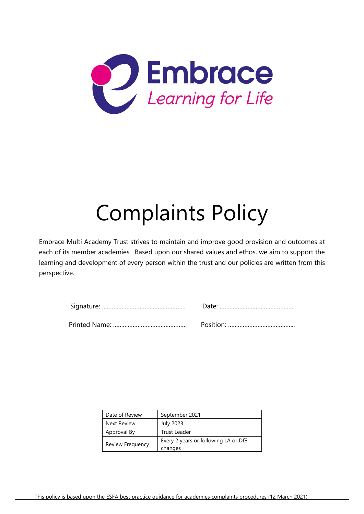

# Complaints Policy

Embrace Multi Academy Trust strives to maintain and improve good provision and outcomes at each of its member academies. Based upon our shared values and ethos, we aim to support the learning and development of every person within the trust and our policies are written from this perspective.

| Date of Review     | September 2021                       |
|--------------------|--------------------------------------|
| <b>Next Review</b> | <b>July 2023</b>                     |
| Approval By        | Trust Leader                         |
| Review Frequency   | Every 2 years or following LA or DfE |
|                    | changes                              |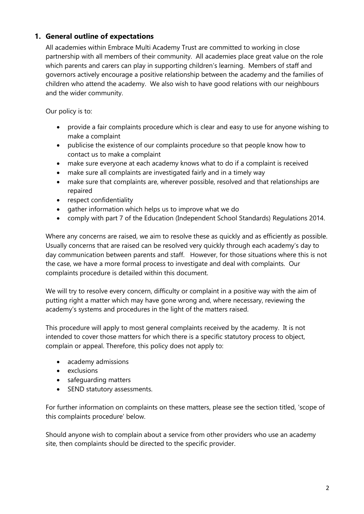## **1. General outline of expectations**

All academies within Embrace Multi Academy Trust are committed to working in close partnership with all members of their community. All academies place great value on the role which parents and carers can play in supporting children's learning. Members of staff and governors actively encourage a positive relationship between the academy and the families of children who attend the academy. We also wish to have good relations with our neighbours and the wider community.

Our policy is to:

- provide a fair complaints procedure which is clear and easy to use for anyone wishing to make a complaint
- publicise the existence of our complaints procedure so that people know how to contact us to make a complaint
- make sure everyone at each academy knows what to do if a complaint is received
- make sure all complaints are investigated fairly and in a timely way
- make sure that complaints are, wherever possible, resolved and that relationships are repaired
- respect confidentiality
- gather information which helps us to improve what we do
- comply with part 7 of the Education (Independent School Standards) Regulations 2014.

Where any concerns are raised, we aim to resolve these as quickly and as efficiently as possible. Usually concerns that are raised can be resolved very quickly through each academy's day to day communication between parents and staff. However, for those situations where this is not the case, we have a more formal process to investigate and deal with complaints. Our complaints procedure is detailed within this document.

We will try to resolve every concern, difficulty or complaint in a positive way with the aim of putting right a matter which may have gone wrong and, where necessary, reviewing the academy's systems and procedures in the light of the matters raised.

This procedure will apply to most general complaints received by the academy. It is not intended to cover those matters for which there is a specific statutory process to object, complain or appeal. Therefore, this policy does not apply to:

- academy admissions
- exclusions
- safeguarding matters
- SEND statutory assessments.

For further information on complaints on these matters, please see the section titled, 'scope of this complaints procedure' below.

Should anyone wish to complain about a service from other providers who use an academy site, then complaints should be directed to the specific provider.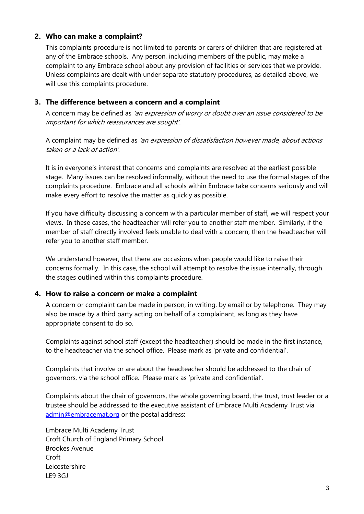#### **2. Who can make a complaint?**

This complaints procedure is not limited to parents or carers of children that are registered at any of the Embrace schools. Any person, including members of the public, may make a complaint to any Embrace school about any provision of facilities or services that we provide. Unless complaints are dealt with under separate statutory procedures, as detailed above, we will use this complaints procedure.

#### **3. The difference between a concern and a complaint**

A concern may be defined as 'an expression of worry or doubt over an issue considered to be important for which reassurances are sought'.

A complaint may be defined as 'an expression of dissatisfaction however made, about actions taken or a lack of action'.

It is in everyone's interest that concerns and complaints are resolved at the earliest possible stage. Many issues can be resolved informally, without the need to use the formal stages of the complaints procedure. Embrace and all schools within Embrace take concerns seriously and will make every effort to resolve the matter as quickly as possible.

If you have difficulty discussing a concern with a particular member of staff, we will respect your views. In these cases, the headteacher will refer you to another staff member. Similarly, if the member of staff directly involved feels unable to deal with a concern, then the headteacher will refer you to another staff member.

We understand however, that there are occasions when people would like to raise their concerns formally. In this case, the school will attempt to resolve the issue internally, through the stages outlined within this complaints procedure.

#### **4. How to raise a concern or make a complaint**

A concern or complaint can be made in person, in writing, by email or by telephone. They may also be made by a third party acting on behalf of a complainant, as long as they have appropriate consent to do so.

Complaints against school staff (except the headteacher) should be made in the first instance, to the headteacher via the school office. Please mark as 'private and confidential'.

Complaints that involve or are about the headteacher should be addressed to the chair of governors, via the school office. Please mark as 'private and confidential'.

Complaints about the chair of governors, the whole governing board, the trust, trust leader or a trustee should be addressed to the executive assistant of Embrace Multi Academy Trust via [admin@embracemat.org](mailto:admin@embracemat.org) or the postal address:

Embrace Multi Academy Trust Croft Church of England Primary School Brookes Avenue Croft Leicestershire LE9 3GJ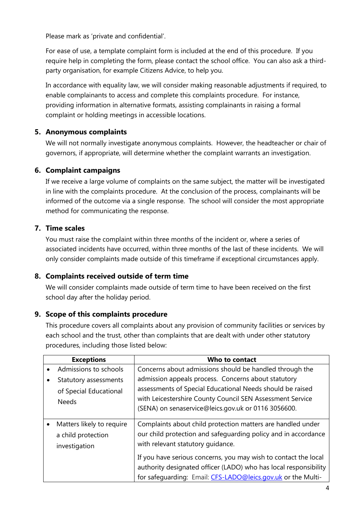Please mark as 'private and confidential'.

For ease of use, a template complaint form is included at the end of this procedure. If you require help in completing the form, please contact the school office. You can also ask a thirdparty organisation, for example Citizens Advice, to help you.

In accordance with equality law, we will consider making reasonable adjustments if required, to enable complainants to access and complete this complaints procedure. For instance, providing information in alternative formats, assisting complainants in raising a formal complaint or holding meetings in accessible locations.

# **5. Anonymous complaints**

We will not normally investigate anonymous complaints. However, the headteacher or chair of governors, if appropriate, will determine whether the complaint warrants an investigation.

# **6. Complaint campaigns**

If we receive a large volume of complaints on the same subject, the matter will be investigated in line with the complaints procedure. At the conclusion of the process, complainants will be informed of the outcome via a single response. The school will consider the most appropriate method for communicating the response.

## **7. Time scales**

You must raise the complaint within three months of the incident or, where a series of associated incidents have occurred, within three months of the last of these incidents. We will only consider complaints made outside of this timeframe if exceptional circumstances apply.

## **8. Complaints received outside of term time**

We will consider complaints made outside of term time to have been received on the first school day after the holiday period.

# **9. Scope of this complaints procedure**

This procedure covers all complaints about any provision of community facilities or services by each school and the trust, other than complaints that are dealt with under other statutory procedures, including those listed below:

| <b>Exceptions</b>                                                | Who to contact                                                                                                                                                                                                                                                                                                                                                            |
|------------------------------------------------------------------|---------------------------------------------------------------------------------------------------------------------------------------------------------------------------------------------------------------------------------------------------------------------------------------------------------------------------------------------------------------------------|
| Admissions to schools                                            | Concerns about admissions should be handled through the                                                                                                                                                                                                                                                                                                                   |
| Statutory assessments<br>of Special Educational<br><b>Needs</b>  | admission appeals process. Concerns about statutory<br>assessments of Special Educational Needs should be raised<br>with Leicestershire County Council SEN Assessment Service<br>(SENA) on senaservice@leics.gov.uk or 0116 3056600.                                                                                                                                      |
| Matters likely to require<br>a child protection<br>investigation | Complaints about child protection matters are handled under<br>our child protection and safeguarding policy and in accordance<br>with relevant statutory guidance.<br>If you have serious concerns, you may wish to contact the local<br>authority designated officer (LADO) who has local responsibility<br>for safequarding: Email: CFS-LADO@leics.gov.uk or the Multi- |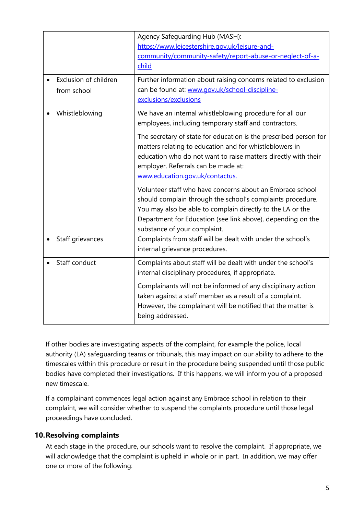| Exclusion of children<br>from school | Agency Safeguarding Hub (MASH):<br>https://www.leicestershire.gov.uk/leisure-and-<br>community/community-safety/report-abuse-or-neglect-of-a-<br>child<br>Further information about raising concerns related to exclusion<br>can be found at: www.gov.uk/school-discipline-<br>exclusions/exclusions                                                                                                                                                                                                                                                                                                                                                                                  |
|--------------------------------------|---------------------------------------------------------------------------------------------------------------------------------------------------------------------------------------------------------------------------------------------------------------------------------------------------------------------------------------------------------------------------------------------------------------------------------------------------------------------------------------------------------------------------------------------------------------------------------------------------------------------------------------------------------------------------------------|
| Whistleblowing                       | We have an internal whistleblowing procedure for all our<br>employees, including temporary staff and contractors.<br>The secretary of state for education is the prescribed person for<br>matters relating to education and for whistleblowers in<br>education who do not want to raise matters directly with their<br>employer. Referrals can be made at:<br>www.education.gov.uk/contactus.<br>Volunteer staff who have concerns about an Embrace school<br>should complain through the school's complaints procedure.<br>You may also be able to complain directly to the LA or the<br>Department for Education (see link above), depending on the<br>substance of your complaint. |
| Staff grievances                     | Complaints from staff will be dealt with under the school's<br>internal grievance procedures.                                                                                                                                                                                                                                                                                                                                                                                                                                                                                                                                                                                         |
| Staff conduct                        | Complaints about staff will be dealt with under the school's<br>internal disciplinary procedures, if appropriate.<br>Complainants will not be informed of any disciplinary action<br>taken against a staff member as a result of a complaint.<br>However, the complainant will be notified that the matter is<br>being addressed.                                                                                                                                                                                                                                                                                                                                                     |

If other bodies are investigating aspects of the complaint, for example the police, local authority (LA) safeguarding teams or tribunals, this may impact on our ability to adhere to the timescales within this procedure or result in the procedure being suspended until those public bodies have completed their investigations. If this happens, we will inform you of a proposed new timescale.

If a complainant commences legal action against any Embrace school in relation to their complaint, we will consider whether to suspend the complaints procedure until those legal proceedings have concluded.

## **10.Resolving complaints**

At each stage in the procedure, our schools want to resolve the complaint. If appropriate, we will acknowledge that the complaint is upheld in whole or in part. In addition, we may offer one or more of the following: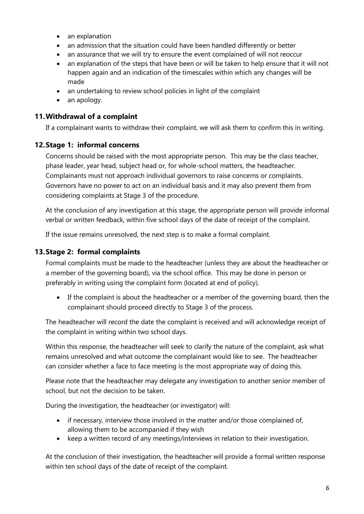- an explanation
- an admission that the situation could have been handled differently or better
- an assurance that we will try to ensure the event complained of will not reoccur
- an explanation of the steps that have been or will be taken to help ensure that it will not happen again and an indication of the timescales within which any changes will be made
- an undertaking to review school policies in light of the complaint
- an apology.

## **11.Withdrawal of a complaint**

If a complainant wants to withdraw their complaint, we will ask them to confirm this in writing.

## **12.Stage 1: informal concerns**

Concerns should be raised with the most appropriate person. This may be the class teacher, phase leader, year head, subject head or, for whole-school matters, the headteacher. Complainants must not approach individual governors to raise concerns or complaints. Governors have no power to act on an individual basis and it may also prevent them from considering complaints at Stage 3 of the procedure.

At the conclusion of any investigation at this stage, the appropriate person will provide informal verbal or written feedback, within five school days of the date of receipt of the complaint.

If the issue remains unresolved, the next step is to make a formal complaint.

## **13.Stage 2: formal complaints**

Formal complaints must be made to the headteacher (unless they are about the headteacher or a member of the governing board), via the school office. This may be done in person or preferably in writing using the complaint form (located at end of policy).

• If the complaint is about the headteacher or a member of the governing board, then the complainant should proceed directly to Stage 3 of the process.

The headteacher will record the date the complaint is received and will acknowledge receipt of the complaint in writing within two school days.

Within this response, the headteacher will seek to clarify the nature of the complaint, ask what remains unresolved and what outcome the complainant would like to see. The headteacher can consider whether a face to face meeting is the most appropriate way of doing this.

Please note that the headteacher may delegate any investigation to another senior member of school, but not the decision to be taken.

During the investigation, the headteacher (or investigator) will:

- if necessary, interview those involved in the matter and/or those complained of, allowing them to be accompanied if they wish
- keep a written record of any meetings/interviews in relation to their investigation.

At the conclusion of their investigation, the headteacher will provide a formal written response within ten school days of the date of receipt of the complaint.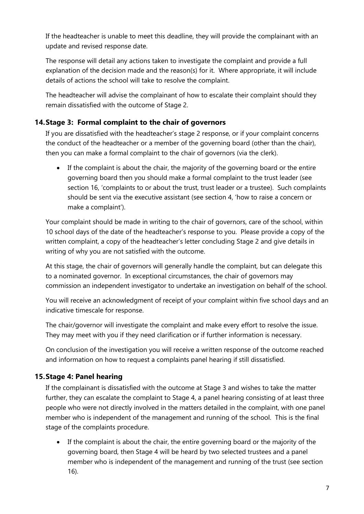If the headteacher is unable to meet this deadline, they will provide the complainant with an update and revised response date.

The response will detail any actions taken to investigate the complaint and provide a full explanation of the decision made and the reason(s) for it. Where appropriate, it will include details of actions the school will take to resolve the complaint.

The headteacher will advise the complainant of how to escalate their complaint should they remain dissatisfied with the outcome of Stage 2.

# **14.Stage 3: Formal complaint to the chair of governors**

If you are dissatisfied with the headteacher's stage 2 response, or if your complaint concerns the conduct of the headteacher or a member of the governing board (other than the chair), then you can make a formal complaint to the chair of governors (via the clerk).

• If the complaint is about the chair, the majority of the governing board or the entire governing board then you should make a formal complaint to the trust leader (see section 16, 'complaints to or about the trust, trust leader or a trustee). Such complaints should be sent via the executive assistant (see section 4, 'how to raise a concern or make a complaint').

Your complaint should be made in writing to the chair of governors, care of the school, within 10 school days of the date of the headteacher's response to you. Please provide a copy of the written complaint, a copy of the headteacher's letter concluding Stage 2 and give details in writing of why you are not satisfied with the outcome.

At this stage, the chair of governors will generally handle the complaint, but can delegate this to a nominated governor. In exceptional circumstances, the chair of governors may commission an independent investigator to undertake an investigation on behalf of the school.

You will receive an acknowledgment of receipt of your complaint within five school days and an indicative timescale for response.

The chair/governor will investigate the complaint and make every effort to resolve the issue. They may meet with you if they need clarification or if further information is necessary.

On conclusion of the investigation you will receive a written response of the outcome reached and information on how to request a complaints panel hearing if still dissatisfied.

## **15.Stage 4: Panel hearing**

If the complainant is dissatisfied with the outcome at Stage 3 and wishes to take the matter further, they can escalate the complaint to Stage 4, a panel hearing consisting of at least three people who were not directly involved in the matters detailed in the complaint, with one panel member who is independent of the management and running of the school. This is the final stage of the complaints procedure.

• If the complaint is about the chair, the entire governing board or the majority of the governing board, then Stage 4 will be heard by two selected trustees and a panel member who is independent of the management and running of the trust (see section 16).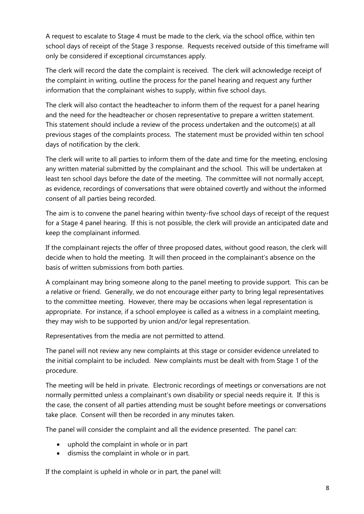A request to escalate to Stage 4 must be made to the clerk, via the school office, within ten school days of receipt of the Stage 3 response. Requests received outside of this timeframe will only be considered if exceptional circumstances apply.

The clerk will record the date the complaint is received. The clerk will acknowledge receipt of the complaint in writing, outline the process for the panel hearing and request any further information that the complainant wishes to supply, within five school days.

The clerk will also contact the headteacher to inform them of the request for a panel hearing and the need for the headteacher or chosen representative to prepare a written statement. This statement should include a review of the process undertaken and the outcome(s) at all previous stages of the complaints process. The statement must be provided within ten school days of notification by the clerk.

The clerk will write to all parties to inform them of the date and time for the meeting, enclosing any written material submitted by the complainant and the school. This will be undertaken at least ten school days before the date of the meeting. The committee will not normally accept, as evidence, recordings of conversations that were obtained covertly and without the informed consent of all parties being recorded.

The aim is to convene the panel hearing within twenty-five school days of receipt of the request for a Stage 4 panel hearing. If this is not possible, the clerk will provide an anticipated date and keep the complainant informed.

If the complainant rejects the offer of three proposed dates, without good reason, the clerk will decide when to hold the meeting. It will then proceed in the complainant's absence on the basis of written submissions from both parties.

A complainant may bring someone along to the panel meeting to provide support. This can be a relative or friend. Generally, we do not encourage either party to bring legal representatives to the committee meeting. However, there may be occasions when legal representation is appropriate. For instance, if a school employee is called as a witness in a complaint meeting, they may wish to be supported by union and/or legal representation.

Representatives from the media are not permitted to attend.

The panel will not review any new complaints at this stage or consider evidence unrelated to the initial complaint to be included. New complaints must be dealt with from Stage 1 of the procedure.

The meeting will be held in private. Electronic recordings of meetings or conversations are not normally permitted unless a complainant's own disability or special needs require it. If this is the case, the consent of all parties attending must be sought before meetings or conversations take place. Consent will then be recorded in any minutes taken.

The panel will consider the complaint and all the evidence presented. The panel can:

- uphold the complaint in whole or in part
- dismiss the complaint in whole or in part.

If the complaint is upheld in whole or in part, the panel will: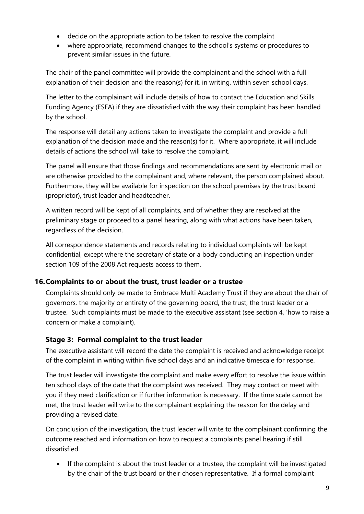- decide on the appropriate action to be taken to resolve the complaint
- where appropriate, recommend changes to the school's systems or procedures to prevent similar issues in the future.

The chair of the panel committee will provide the complainant and the school with a full explanation of their decision and the reason(s) for it, in writing, within seven school days.

The letter to the complainant will include details of how to contact the Education and Skills Funding Agency (ESFA) if they are dissatisfied with the way their complaint has been handled by the school.

The response will detail any actions taken to investigate the complaint and provide a full explanation of the decision made and the reason(s) for it. Where appropriate, it will include details of actions the school will take to resolve the complaint.

The panel will ensure that those findings and recommendations are sent by electronic mail or are otherwise provided to the complainant and, where relevant, the person complained about. Furthermore, they will be available for inspection on the school premises by the trust board (proprietor), trust leader and headteacher.

A written record will be kept of all complaints, and of whether they are resolved at the preliminary stage or proceed to a panel hearing, along with what actions have been taken, regardless of the decision.

All correspondence statements and records relating to individual complaints will be kept confidential, except where the secretary of state or a body conducting an inspection under section 109 of the 2008 Act requests access to them.

## **16.Complaints to or about the trust, trust leader or a trustee**

Complaints should only be made to Embrace Multi Academy Trust if they are about the chair of governors, the majority or entirety of the governing board, the trust, the trust leader or a trustee. Such complaints must be made to the executive assistant (see section 4, 'how to raise a concern or make a complaint).

# **Stage 3: Formal complaint to the trust leader**

The executive assistant will record the date the complaint is received and acknowledge receipt of the complaint in writing within five school days and an indicative timescale for response.

The trust leader will investigate the complaint and make every effort to resolve the issue within ten school days of the date that the complaint was received. They may contact or meet with you if they need clarification or if further information is necessary. If the time scale cannot be met, the trust leader will write to the complainant explaining the reason for the delay and providing a revised date.

On conclusion of the investigation, the trust leader will write to the complainant confirming the outcome reached and information on how to request a complaints panel hearing if still dissatisfied.

• If the complaint is about the trust leader or a trustee, the complaint will be investigated by the chair of the trust board or their chosen representative. If a formal complaint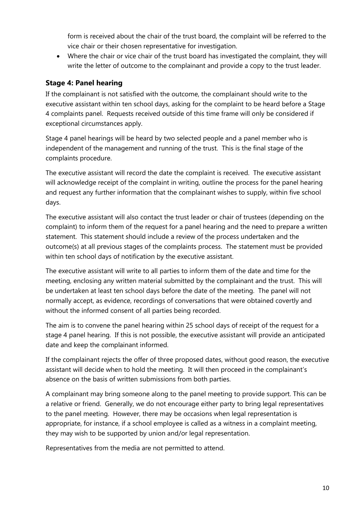form is received about the chair of the trust board, the complaint will be referred to the vice chair or their chosen representative for investigation.

• Where the chair or vice chair of the trust board has investigated the complaint, they will write the letter of outcome to the complainant and provide a copy to the trust leader.

# **Stage 4: Panel hearing**

If the complainant is not satisfied with the outcome, the complainant should write to the executive assistant within ten school days, asking for the complaint to be heard before a Stage 4 complaints panel. Requests received outside of this time frame will only be considered if exceptional circumstances apply.

Stage 4 panel hearings will be heard by two selected people and a panel member who is independent of the management and running of the trust. This is the final stage of the complaints procedure.

The executive assistant will record the date the complaint is received. The executive assistant will acknowledge receipt of the complaint in writing, outline the process for the panel hearing and request any further information that the complainant wishes to supply, within five school days.

The executive assistant will also contact the trust leader or chair of trustees (depending on the complaint) to inform them of the request for a panel hearing and the need to prepare a written statement. This statement should include a review of the process undertaken and the outcome(s) at all previous stages of the complaints process. The statement must be provided within ten school days of notification by the executive assistant.

The executive assistant will write to all parties to inform them of the date and time for the meeting, enclosing any written material submitted by the complainant and the trust. This will be undertaken at least ten school days before the date of the meeting. The panel will not normally accept, as evidence, recordings of conversations that were obtained covertly and without the informed consent of all parties being recorded.

The aim is to convene the panel hearing within 25 school days of receipt of the request for a stage 4 panel hearing. If this is not possible, the executive assistant will provide an anticipated date and keep the complainant informed.

If the complainant rejects the offer of three proposed dates, without good reason, the executive assistant will decide when to hold the meeting. It will then proceed in the complainant's absence on the basis of written submissions from both parties.

A complainant may bring someone along to the panel meeting to provide support. This can be a relative or friend. Generally, we do not encourage either party to bring legal representatives to the panel meeting. However, there may be occasions when legal representation is appropriate, for instance, if a school employee is called as a witness in a complaint meeting, they may wish to be supported by union and/or legal representation.

Representatives from the media are not permitted to attend.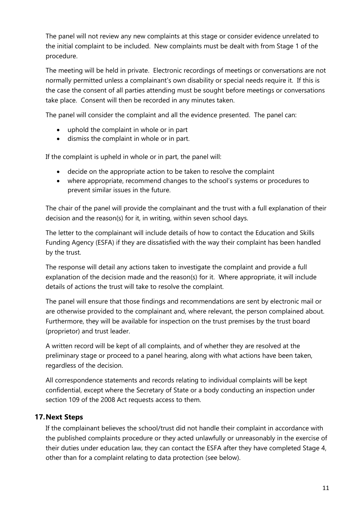The panel will not review any new complaints at this stage or consider evidence unrelated to the initial complaint to be included. New complaints must be dealt with from Stage 1 of the procedure.

The meeting will be held in private. Electronic recordings of meetings or conversations are not normally permitted unless a complainant's own disability or special needs require it. If this is the case the consent of all parties attending must be sought before meetings or conversations take place. Consent will then be recorded in any minutes taken.

The panel will consider the complaint and all the evidence presented. The panel can:

- uphold the complaint in whole or in part
- dismiss the complaint in whole or in part.

If the complaint is upheld in whole or in part, the panel will:

- decide on the appropriate action to be taken to resolve the complaint
- where appropriate, recommend changes to the school's systems or procedures to prevent similar issues in the future.

The chair of the panel will provide the complainant and the trust with a full explanation of their decision and the reason(s) for it, in writing, within seven school days.

The letter to the complainant will include details of how to contact the Education and Skills Funding Agency (ESFA) if they are dissatisfied with the way their complaint has been handled by the trust.

The response will detail any actions taken to investigate the complaint and provide a full explanation of the decision made and the reason(s) for it. Where appropriate, it will include details of actions the trust will take to resolve the complaint.

The panel will ensure that those findings and recommendations are sent by electronic mail or are otherwise provided to the complainant and, where relevant, the person complained about. Furthermore, they will be available for inspection on the trust premises by the trust board (proprietor) and trust leader.

A written record will be kept of all complaints, and of whether they are resolved at the preliminary stage or proceed to a panel hearing, along with what actions have been taken, regardless of the decision.

All correspondence statements and records relating to individual complaints will be kept confidential, except where the Secretary of State or a body conducting an inspection under section 109 of the 2008 Act requests access to them.

## **17.Next Steps**

If the complainant believes the school/trust did not handle their complaint in accordance with the published complaints procedure or they acted unlawfully or unreasonably in the exercise of their duties under education law, they can contact the ESFA after they have completed Stage 4, other than for a complaint relating to data protection (see below).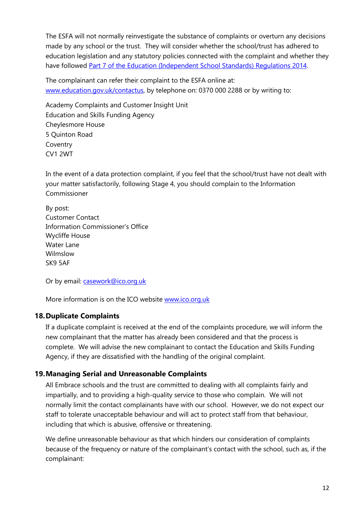The ESFA will not normally reinvestigate the substance of complaints or overturn any decisions made by any school or the trust. They will consider whether the school/trust has adhered to education legislation and any statutory policies connected with the complaint and whether they have followed [Part 7 of the Education \(Independent School Standards\) Regulations 2014.](http://www.legislation.gov.uk/uksi/2010/1997/schedule/1/made)

The complainant can refer their complaint to the ESFA online at: [www.education.gov.uk/contactus,](http://www.education.gov.uk/contactus) by telephone on: 0370 000 2288 or by writing to:

Academy Complaints and Customer Insight Unit Education and Skills Funding Agency Cheylesmore House 5 Quinton Road Coventry CV1 2WT

In the event of a data protection complaint, if you feel that the school/trust have not dealt with your matter satisfactorily, following Stage 4, you should complain to the Information Commissioner

By post: Customer Contact Information Commissioner's Office Wycliffe House Water Lane Wilmslow SK9 5AF

Or by email: [casework@ico.org.uk](mailto:casework@ico.org.uk)

More information is on the ICO website [www.ico.org.uk](http://www.ico.org.uk/)

# **18.Duplicate Complaints**

If a duplicate complaint is received at the end of the complaints procedure, we will inform the new complainant that the matter has already been considered and that the process is complete. We will advise the new complainant to contact the Education and Skills Funding Agency, if they are dissatisfied with the handling of the original complaint.

## **19.Managing Serial and Unreasonable Complaints**

All Embrace schools and the trust are committed to dealing with all complaints fairly and impartially, and to providing a high-quality service to those who complain. We will not normally limit the contact complainants have with our school. However, we do not expect our staff to tolerate unacceptable behaviour and will act to protect staff from that behaviour, including that which is abusive, offensive or threatening.

We define unreasonable behaviour as that which hinders our consideration of complaints because of the frequency or nature of the complainant's contact with the school, such as, if the complainant: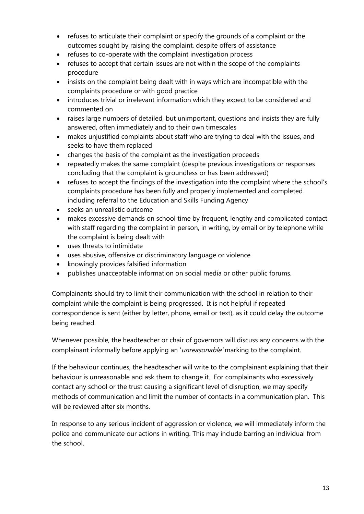- refuses to articulate their complaint or specify the grounds of a complaint or the outcomes sought by raising the complaint, despite offers of assistance
- refuses to co-operate with the complaint investigation process
- refuses to accept that certain issues are not within the scope of the complaints procedure
- insists on the complaint being dealt with in ways which are incompatible with the complaints procedure or with good practice
- introduces trivial or irrelevant information which they expect to be considered and commented on
- raises large numbers of detailed, but unimportant, questions and insists they are fully answered, often immediately and to their own timescales
- makes unjustified complaints about staff who are trying to deal with the issues, and seeks to have them replaced
- changes the basis of the complaint as the investigation proceeds
- repeatedly makes the same complaint (despite previous investigations or responses concluding that the complaint is groundless or has been addressed)
- refuses to accept the findings of the investigation into the complaint where the school's complaints procedure has been fully and properly implemented and completed including referral to the Education and Skills Funding Agency
- seeks an unrealistic outcome
- makes excessive demands on school time by frequent, lengthy and complicated contact with staff regarding the complaint in person, in writing, by email or by telephone while the complaint is being dealt with
- uses threats to intimidate
- uses abusive, offensive or discriminatory language or violence
- knowingly provides falsified information
- publishes unacceptable information on social media or other public forums.

Complainants should try to limit their communication with the school in relation to their complaint while the complaint is being progressed. It is not helpful if repeated correspondence is sent (either by letter, phone, email or text), as it could delay the outcome being reached.

Whenever possible, the headteacher or chair of governors will discuss any concerns with the complainant informally before applying an 'unreasonable' marking to the complaint.

If the behaviour continues, the headteacher will write to the complainant explaining that their behaviour is unreasonable and ask them to change it. For complainants who excessively contact any school or the trust causing a significant level of disruption, we may specify methods of communication and limit the number of contacts in a communication plan. This will be reviewed after six months.

In response to any serious incident of aggression or violence, we will immediately inform the police and communicate our actions in writing. This may include barring an individual from the school.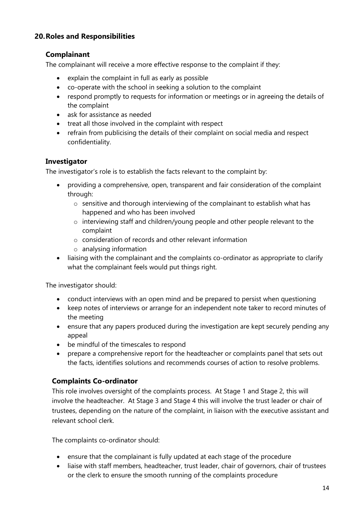## **20.Roles and Responsibilities**

## **Complainant**

The complainant will receive a more effective response to the complaint if they:

- explain the complaint in full as early as possible
- co-operate with the school in seeking a solution to the complaint
- respond promptly to requests for information or meetings or in agreeing the details of the complaint
- ask for assistance as needed
- treat all those involved in the complaint with respect
- refrain from publicising the details of their complaint on social media and respect confidentiality.

#### **Investigator**

The investigator's role is to establish the facts relevant to the complaint by:

- providing a comprehensive, open, transparent and fair consideration of the complaint through:
	- o sensitive and thorough interviewing of the complainant to establish what has happened and who has been involved
	- o interviewing staff and children/young people and other people relevant to the complaint
	- o consideration of records and other relevant information
	- o analysing information
- liaising with the complainant and the complaints co-ordinator as appropriate to clarify what the complainant feels would put things right.

The investigator should:

- conduct interviews with an open mind and be prepared to persist when questioning
- keep notes of interviews or arrange for an independent note taker to record minutes of the meeting
- ensure that any papers produced during the investigation are kept securely pending any appeal
- be mindful of the timescales to respond
- prepare a comprehensive report for the headteacher or complaints panel that sets out the facts, identifies solutions and recommends courses of action to resolve problems.

## **Complaints Co-ordinator**

This role involves oversight of the complaints process. At Stage 1 and Stage 2, this will involve the headteacher. At Stage 3 and Stage 4 this will involve the trust leader or chair of trustees, depending on the nature of the complaint, in liaison with the executive assistant and relevant school clerk.

The complaints co-ordinator should:

- ensure that the complainant is fully updated at each stage of the procedure
- liaise with staff members, headteacher, trust leader, chair of governors, chair of trustees or the clerk to ensure the smooth running of the complaints procedure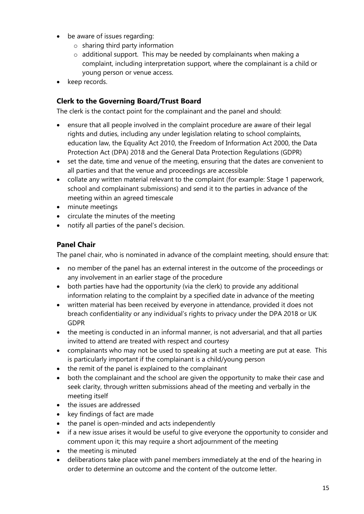- be aware of issues regarding:
	- $\circ$  sharing third party information
	- $\circ$  additional support. This may be needed by complainants when making a complaint, including interpretation support, where the complainant is a child or young person or venue access.
- keep records.

## **Clerk to the Governing Board/Trust Board**

The clerk is the contact point for the complainant and the panel and should:

- ensure that all people involved in the complaint procedure are aware of their legal rights and duties, including any under legislation relating to school complaints, education law, the Equality Act 2010, the Freedom of Information Act 2000, the Data Protection Act (DPA) 2018 and the General Data Protection Regulations (GDPR)
- set the date, time and venue of the meeting, ensuring that the dates are convenient to all parties and that the venue and proceedings are accessible
- collate any written material relevant to the complaint (for example: Stage 1 paperwork, school and complainant submissions) and send it to the parties in advance of the meeting within an agreed timescale
- minute meetings
- circulate the minutes of the meeting
- notify all parties of the panel's decision.

## **Panel Chair**

The panel chair, who is nominated in advance of the complaint meeting, should ensure that:

- no member of the panel has an external interest in the outcome of the proceedings or any involvement in an earlier stage of the procedure
- both parties have had the opportunity (via the clerk) to provide any additional information relating to the complaint by a specified date in advance of the meeting
- written material has been received by everyone in attendance, provided it does not breach confidentiality or any individual's rights to privacy under the DPA 2018 or UK GDPR
- the meeting is conducted in an informal manner, is not adversarial, and that all parties invited to attend are treated with respect and courtesy
- complainants who may not be used to speaking at such a meeting are put at ease. This is particularly important if the complainant is a child/young person
- the remit of the panel is explained to the complainant
- both the complainant and the school are given the opportunity to make their case and seek clarity, through written submissions ahead of the meeting and verbally in the meeting itself
- the issues are addressed
- key findings of fact are made
- the panel is open-minded and acts independently
- if a new issue arises it would be useful to give everyone the opportunity to consider and comment upon it; this may require a short adjournment of the meeting
- the meeting is minuted
- deliberations take place with panel members immediately at the end of the hearing in order to determine an outcome and the content of the outcome letter.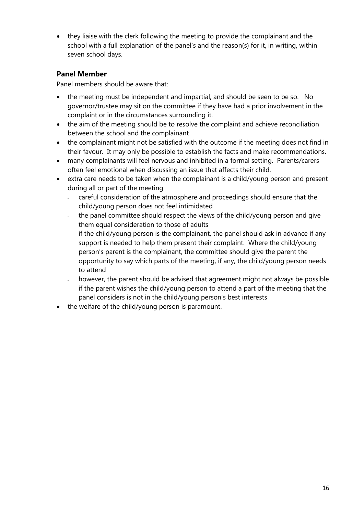• they liaise with the clerk following the meeting to provide the complainant and the school with a full explanation of the panel's and the reason(s) for it, in writing, within seven school days.

## **Panel Member**

Panel members should be aware that:

- the meeting must be independent and impartial, and should be seen to be so. No governor/trustee may sit on the committee if they have had a prior involvement in the complaint or in the circumstances surrounding it.
- the aim of the meeting should be to resolve the complaint and achieve reconciliation between the school and the complainant
- the complainant might not be satisfied with the outcome if the meeting does not find in their favour. It may only be possible to establish the facts and make recommendations.
- many complainants will feel nervous and inhibited in a formal setting. Parents/carers often feel emotional when discussing an issue that affects their child.
- extra care needs to be taken when the complainant is a child/young person and present during all or part of the meeting
	- careful consideration of the atmosphere and proceedings should ensure that the child/young person does not feel intimidated
	- the panel committee should respect the views of the child/young person and give them equal consideration to those of adults
	- if the child/young person is the complainant, the panel should ask in advance if any support is needed to help them present their complaint. Where the child/young person's parent is the complainant, the committee should give the parent the opportunity to say which parts of the meeting, if any, the child/young person needs to attend
	- however, the parent should be advised that agreement might not always be possible if the parent wishes the child/young person to attend a part of the meeting that the panel considers is not in the child/young person's best interests
- the welfare of the child/young person is paramount.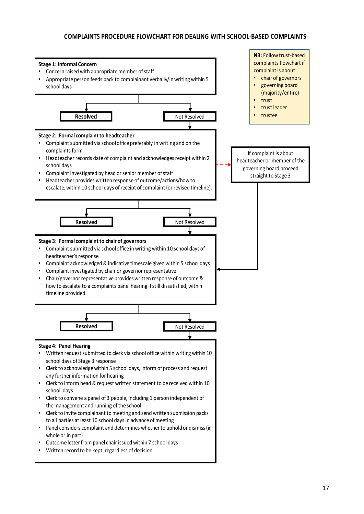#### **COMPLAINTS PROCEDURE FLOWCHART FOR DEALING WITH SCHOOL-BASED COMPLAINTS**

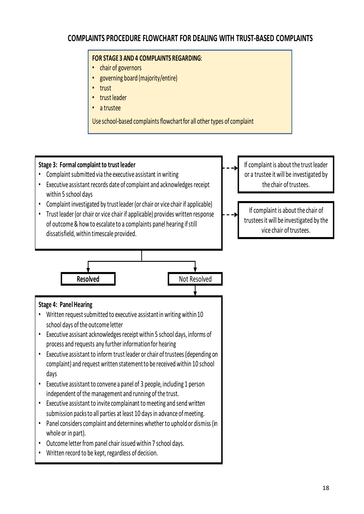# **COMPLAINTS PROCEDURE FLOWCHART FOR DEALING WITH TRUST-BASED COMPLAINTS**

#### **FOR STAGE 3 AND 4 COMPLAINTS REGARDING**:

- chair of governors
- governing board (majority/entire)
- trust
- •trust leader
- a trustee

Use school-based complaints flowchart for all other types of complaint

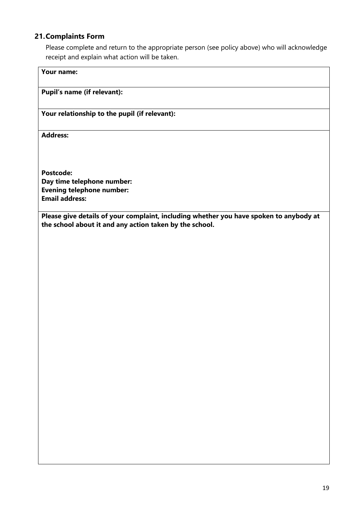#### **21.Complaints Form**

Please complete and return to the appropriate person (see policy above) who will acknowledge receipt and explain what action will be taken.

## **Your name:**

#### **Pupil's name (if relevant):**

#### **Your relationship to the pupil (if relevant):**

**Address:** 

**Postcode: Day time telephone number: Evening telephone number: Email address:**

**Please give details of your complaint, including whether you have spoken to anybody at the school about it and any action taken by the school.**